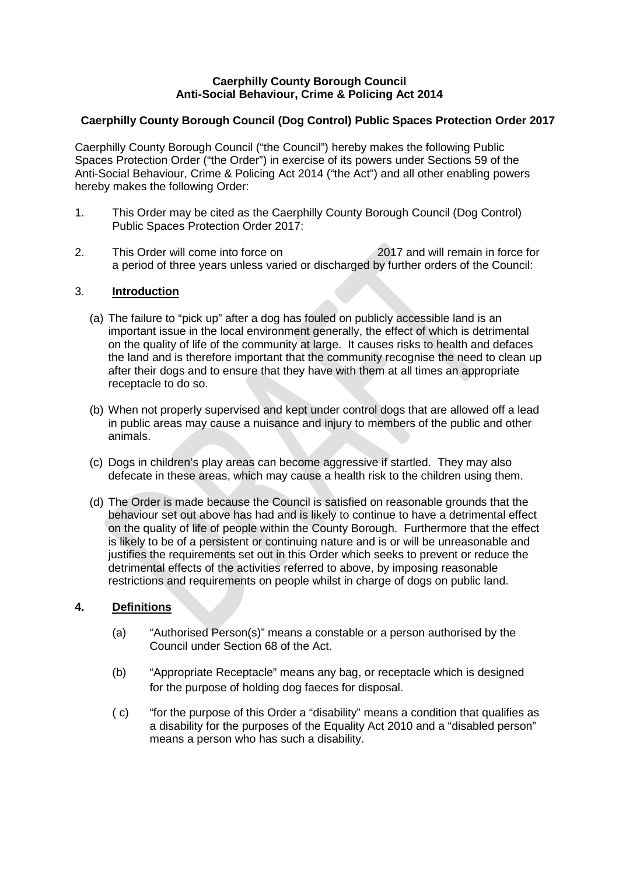### **Caerphilly County Borough Council Anti-Social Behaviour, Crime & Policing Act 2014**

# **Caerphilly County Borough Council (Dog Control) Public Spaces Protection Order 2017**

Caerphilly County Borough Council ("the Council") hereby makes the following Public Spaces Protection Order ("the Order") in exercise of its powers under Sections 59 of the Anti-Social Behaviour, Crime & Policing Act 2014 ("the Act") and all other enabling powers hereby makes the following Order:

- 1. This Order may be cited as the Caerphilly County Borough Council (Dog Control) Public Spaces Protection Order 2017:
- 2. This Order will come into force on 2017 and will remain in force for a period of three years unless varied or discharged by further orders of the Council:

### 3. **Introduction**

- (a) The failure to "pick up" after a dog has fouled on publicly accessible land is an important issue in the local environment generally, the effect of which is detrimental on the quality of life of the community at large. It causes risks to health and defaces the land and is therefore important that the community recognise the need to clean up after their dogs and to ensure that they have with them at all times an appropriate receptacle to do so.
- (b) When not properly supervised and kept under control dogs that are allowed off a lead in public areas may cause a nuisance and injury to members of the public and other animals.
- (c) Dogs in children's play areas can become aggressive if startled. They may also defecate in these areas, which may cause a health risk to the children using them.
- (d) The Order is made because the Council is satisfied on reasonable grounds that the behaviour set out above has had and is likely to continue to have a detrimental effect on the quality of life of people within the County Borough. Furthermore that the effect is likely to be of a persistent or continuing nature and is or will be unreasonable and justifies the requirements set out in this Order which seeks to prevent or reduce the detrimental effects of the activities referred to above, by imposing reasonable restrictions and requirements on people whilst in charge of dogs on public land.

### **4. Definitions**

- (a) "Authorised Person(s)" means a constable or a person authorised by the Council under Section 68 of the Act.
- (b) "Appropriate Receptacle" means any bag, or receptacle which is designed for the purpose of holding dog faeces for disposal.
- ( c) "for the purpose of this Order a "disability" means a condition that qualifies as a disability for the purposes of the Equality Act 2010 and a "disabled person" means a person who has such a disability.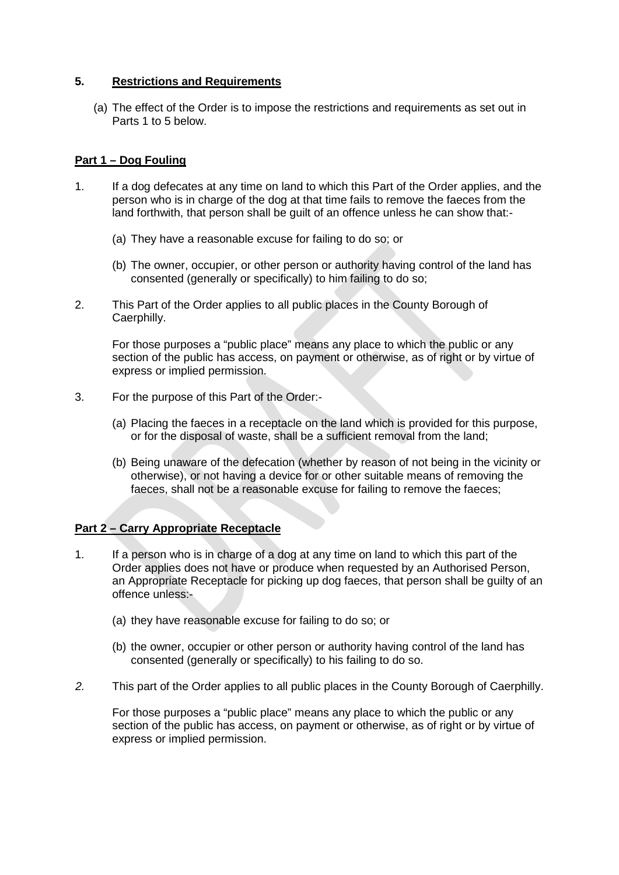## **5. Restrictions and Requirements**

(a) The effect of the Order is to impose the restrictions and requirements as set out in Parts 1 to 5 below.

#### **Part 1 – Dog Fouling**

- 1. If a dog defecates at any time on land to which this Part of the Order applies, and the person who is in charge of the dog at that time fails to remove the faeces from the land forthwith, that person shall be guilt of an offence unless he can show that:-
	- (a) They have a reasonable excuse for failing to do so; or
	- (b) The owner, occupier, or other person or authority having control of the land has consented (generally or specifically) to him failing to do so;
- 2. This Part of the Order applies to all public places in the County Borough of Caerphilly.

For those purposes a "public place" means any place to which the public or any section of the public has access, on payment or otherwise, as of right or by virtue of express or implied permission.

- 3. For the purpose of this Part of the Order:-
	- (a) Placing the faeces in a receptacle on the land which is provided for this purpose, or for the disposal of waste, shall be a sufficient removal from the land;
	- (b) Being unaware of the defecation (whether by reason of not being in the vicinity or otherwise), or not having a device for or other suitable means of removing the faeces, shall not be a reasonable excuse for failing to remove the faeces;

### **Part 2 – Carry Appropriate Receptacle**

- 1. If a person who is in charge of a dog at any time on land to which this part of the Order applies does not have or produce when requested by an Authorised Person, an Appropriate Receptacle for picking up dog faeces, that person shall be guilty of an offence unless:-
	- (a) they have reasonable excuse for failing to do so; or
	- (b) the owner, occupier or other person or authority having control of the land has consented (generally or specifically) to his failing to do so.
- *2.* This part of the Order applies to all public places in the County Borough of Caerphilly.

For those purposes a "public place" means any place to which the public or any section of the public has access, on payment or otherwise, as of right or by virtue of express or implied permission.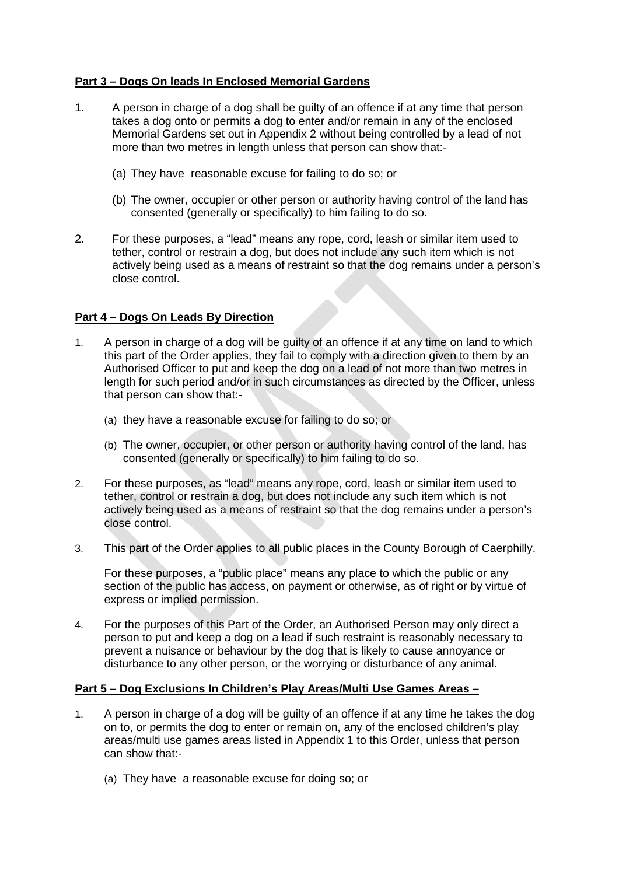## **Part 3 – Dogs On leads In Enclosed Memorial Gardens**

- 1. A person in charge of a dog shall be guilty of an offence if at any time that person takes a dog onto or permits a dog to enter and/or remain in any of the enclosed Memorial Gardens set out in Appendix 2 without being controlled by a lead of not more than two metres in length unless that person can show that:-
	- (a) They have reasonable excuse for failing to do so; or
	- (b) The owner, occupier or other person or authority having control of the land has consented (generally or specifically) to him failing to do so.
- 2. For these purposes, a "lead" means any rope, cord, leash or similar item used to tether, control or restrain a dog, but does not include any such item which is not actively being used as a means of restraint so that the dog remains under a person's close control.

### **Part 4 – Dogs On Leads By Direction**

- 1. A person in charge of a dog will be guilty of an offence if at any time on land to which this part of the Order applies, they fail to comply with a direction given to them by an Authorised Officer to put and keep the dog on a lead of not more than two metres in length for such period and/or in such circumstances as directed by the Officer, unless that person can show that:-
	- (a) they have a reasonable excuse for failing to do so; or
	- (b) The owner, occupier, or other person or authority having control of the land, has consented (generally or specifically) to him failing to do so.
- 2. For these purposes, as "lead" means any rope, cord, leash or similar item used to tether, control or restrain a dog, but does not include any such item which is not actively being used as a means of restraint so that the dog remains under a person's close control.
- 3. This part of the Order applies to all public places in the County Borough of Caerphilly.

For these purposes, a "public place" means any place to which the public or any section of the public has access, on payment or otherwise, as of right or by virtue of express or implied permission.

4. For the purposes of this Part of the Order, an Authorised Person may only direct a person to put and keep a dog on a lead if such restraint is reasonably necessary to prevent a nuisance or behaviour by the dog that is likely to cause annoyance or disturbance to any other person, or the worrying or disturbance of any animal.

### **Part 5 – Dog Exclusions In Children's Play Areas/Multi Use Games Areas –**

- 1. A person in charge of a dog will be guilty of an offence if at any time he takes the dog on to, or permits the dog to enter or remain on, any of the enclosed children's play areas/multi use games areas listed in Appendix 1 to this Order, unless that person can show that:-
	- (a) They have a reasonable excuse for doing so; or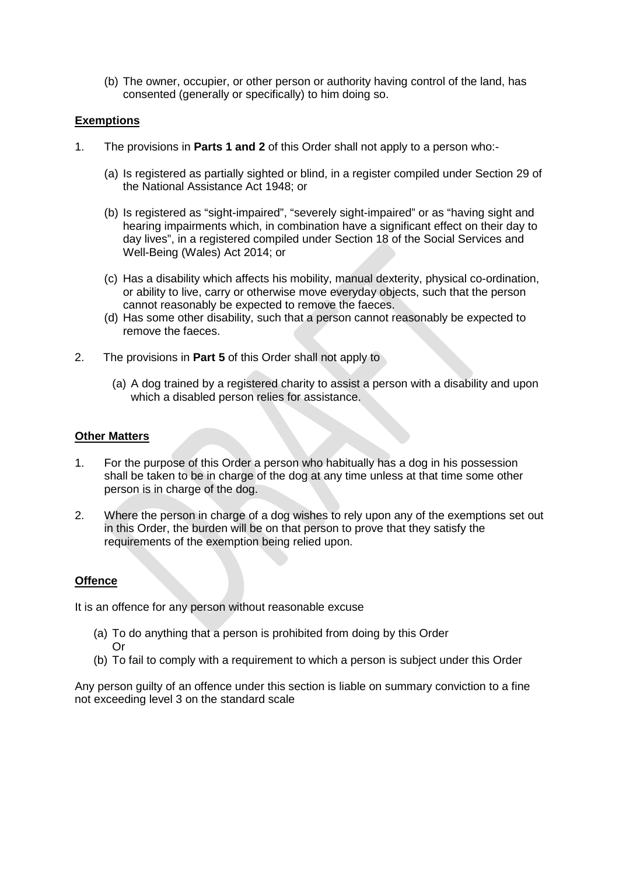(b) The owner, occupier, or other person or authority having control of the land, has consented (generally or specifically) to him doing so.

#### **Exemptions**

- 1. The provisions in **Parts 1 and 2** of this Order shall not apply to a person who:-
	- (a) Is registered as partially sighted or blind, in a register compiled under Section 29 of the National Assistance Act 1948; or
	- (b) Is registered as "sight-impaired", "severely sight-impaired" or as "having sight and hearing impairments which, in combination have a significant effect on their day to day lives", in a registered compiled under Section 18 of the Social Services and Well-Being (Wales) Act 2014; or
	- (c) Has a disability which affects his mobility, manual dexterity, physical co-ordination, or ability to live, carry or otherwise move everyday objects, such that the person cannot reasonably be expected to remove the faeces.
	- (d) Has some other disability, such that a person cannot reasonably be expected to remove the faeces.
- 2. The provisions in **Part 5** of this Order shall not apply to
	- (a) A dog trained by a registered charity to assist a person with a disability and upon which a disabled person relies for assistance.

#### **Other Matters**

- 1. For the purpose of this Order a person who habitually has a dog in his possession shall be taken to be in charge of the dog at any time unless at that time some other person is in charge of the dog.
- 2. Where the person in charge of a dog wishes to rely upon any of the exemptions set out in this Order, the burden will be on that person to prove that they satisfy the requirements of the exemption being relied upon.

### **Offence**

It is an offence for any person without reasonable excuse

- (a) To do anything that a person is prohibited from doing by this Order Or
- (b) To fail to comply with a requirement to which a person is subject under this Order

Any person guilty of an offence under this section is liable on summary conviction to a fine not exceeding level 3 on the standard scale